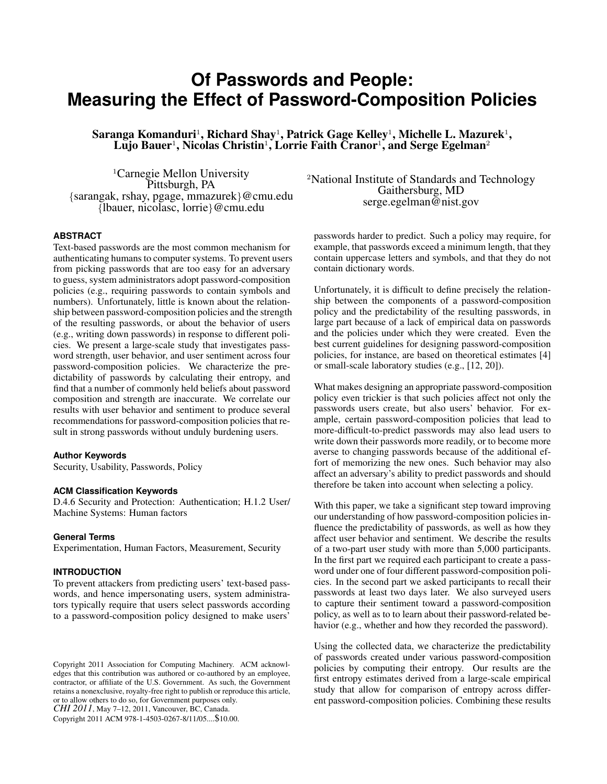# **Of Passwords and People: Measuring the Effect of Password-Composition Policies**

Saranga Komanduri $^1$ , Richard Shay $^1$ , Patrick Gage Kelley $^1$ , Michelle L. Mazurek $^1,$ Lujo Bauer<sup>1</sup>, Nicolas Christin<sup>1</sup>, Lorrie Faith Cranor<sup>1</sup>, and Serge Egelman<sup>2</sup>

<sup>1</sup>Carnegie Mellon University Pittsburgh, PA {sarangak, rshay, pgage, mmazurek}@cmu.edu {lbauer, nicolasc, lorrie}@cmu.edu

## **ABSTRACT**

Text-based passwords are the most common mechanism for authenticating humans to computer systems. To prevent users from picking passwords that are too easy for an adversary to guess, system administrators adopt password-composition policies (e.g., requiring passwords to contain symbols and numbers). Unfortunately, little is known about the relationship between password-composition policies and the strength of the resulting passwords, or about the behavior of users (e.g., writing down passwords) in response to different policies. We present a large-scale study that investigates password strength, user behavior, and user sentiment across four password-composition policies. We characterize the predictability of passwords by calculating their entropy, and find that a number of commonly held beliefs about password composition and strength are inaccurate. We correlate our results with user behavior and sentiment to produce several recommendations for password-composition policies that result in strong passwords without unduly burdening users.

## **Author Keywords**

Security, Usability, Passwords, Policy

#### **ACM Classification Keywords**

D.4.6 Security and Protection: Authentication; H.1.2 User/ Machine Systems: Human factors

## **General Terms**

Experimentation, Human Factors, Measurement, Security

## **INTRODUCTION**

To prevent attackers from predicting users' text-based passwords, and hence impersonating users, system administrators typically require that users select passwords according to a password-composition policy designed to make users'

*CHI 2011*, May 7-12, 2011, Vancouver, BC, Canada.

Copyright 2011 ACM 978-1-4503-0267-8/11/05....\$10.00.

<sup>2</sup>National Institute of Standards and Technology Gaithersburg, MD serge.egelman@nist.gov

passwords harder to predict. Such a policy may require, for example, that passwords exceed a minimum length, that they contain uppercase letters and symbols, and that they do not contain dictionary words.

Unfortunately, it is difficult to define precisely the relationship between the components of a password-composition policy and the predictability of the resulting passwords, in large part because of a lack of empirical data on passwords and the policies under which they were created. Even the best current guidelines for designing password-composition policies, for instance, are based on theoretical estimates [\[4\]](#page-9-0) or small-scale laboratory studies (e.g., [\[12,](#page-9-1) [20\]](#page-9-2)).

What makes designing an appropriate password-composition policy even trickier is that such policies affect not only the passwords users create, but also users' behavior. For example, certain password-composition policies that lead to more-difficult-to-predict passwords may also lead users to write down their passwords more readily, or to become more averse to changing passwords because of the additional effort of memorizing the new ones. Such behavior may also affect an adversary's ability to predict passwords and should therefore be taken into account when selecting a policy.

With this paper, we take a significant step toward improving our understanding of how password-composition policies influence the predictability of passwords, as well as how they affect user behavior and sentiment. We describe the results of a two-part user study with more than 5,000 participants. In the first part we required each participant to create a password under one of four different password-composition policies. In the second part we asked participants to recall their passwords at least two days later. We also surveyed users to capture their sentiment toward a password-composition policy, as well as to to learn about their password-related behavior (e.g., whether and how they recorded the password).

Using the collected data, we characterize the predictability of passwords created under various password-composition policies by computing their entropy. Our results are the first entropy estimates derived from a large-scale empirical study that allow for comparison of entropy across different password-composition policies. Combining these results

Copyright 2011 Association for Computing Machinery. ACM acknowledges that this contribution was authored or co-authored by an employee, contractor, or affiliate of the U.S. Government. As such, the Government retains a nonexclusive, royalty-free right to publish or reproduce this article, or to allow others to do so, for Government purposes only.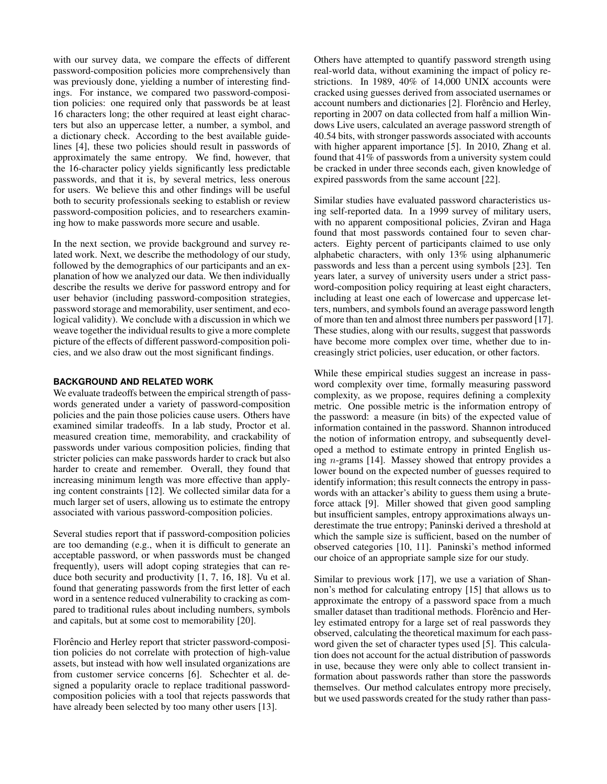with our survey data, we compare the effects of different password-composition policies more comprehensively than was previously done, yielding a number of interesting findings. For instance, we compared two password-composition policies: one required only that passwords be at least 16 characters long; the other required at least eight characters but also an uppercase letter, a number, a symbol, and a dictionary check. According to the best available guidelines [\[4\]](#page-9-0), these two policies should result in passwords of approximately the same entropy. We find, however, that the 16-character policy yields significantly less predictable passwords, and that it is, by several metrics, less onerous for users. We believe this and other findings will be useful both to security professionals seeking to establish or review password-composition policies, and to researchers examining how to make passwords more secure and usable.

In the next section, we provide background and survey related work. Next, we describe the methodology of our study, followed by the demographics of our participants and an explanation of how we analyzed our data. We then individually describe the results we derive for password entropy and for user behavior (including password-composition strategies, password storage and memorability, user sentiment, and ecological validity). We conclude with a discussion in which we weave together the individual results to give a more complete picture of the effects of different password-composition policies, and we also draw out the most significant findings.

# **BACKGROUND AND RELATED WORK**

We evaluate tradeoffs between the empirical strength of passwords generated under a variety of password-composition policies and the pain those policies cause users. Others have examined similar tradeoffs. In a lab study, Proctor et al. measured creation time, memorability, and crackability of passwords under various composition policies, finding that stricter policies can make passwords harder to crack but also harder to create and remember. Overall, they found that increasing minimum length was more effective than applying content constraints [\[12\]](#page-9-1). We collected similar data for a much larger set of users, allowing us to estimate the entropy associated with various password-composition policies.

Several studies report that if password-composition policies are too demanding (e.g., when it is difficult to generate an acceptable password, or when passwords must be changed frequently), users will adopt coping strategies that can reduce both security and productivity [\[1,](#page-9-3) [7,](#page-9-4) [16,](#page-9-5) [18\]](#page-9-6). Vu et al. found that generating passwords from the first letter of each word in a sentence reduced vulnerability to cracking as compared to traditional rules about including numbers, symbols and capitals, but at some cost to memorability [\[20\]](#page-9-2).

Florêncio and Herley report that stricter password-composition policies do not correlate with protection of high-value assets, but instead with how well insulated organizations are from customer service concerns [\[6\]](#page-9-7). Schechter et al. designed a popularity oracle to replace traditional passwordcomposition policies with a tool that rejects passwords that have already been selected by too many other users [\[13\]](#page-9-8).

Others have attempted to quantify password strength using real-world data, without examining the impact of policy restrictions. In 1989, 40% of 14,000 UNIX accounts were cracked using guesses derived from associated usernames or account numbers and dictionaries [\[2\]](#page-9-9). Florêncio and Herley, reporting in 2007 on data collected from half a million Windows Live users, calculated an average password strength of 40.54 bits, with stronger passwords associated with accounts with higher apparent importance [\[5\]](#page-9-10). In 2010, Zhang et al. found that 41% of passwords from a university system could be cracked in under three seconds each, given knowledge of expired passwords from the same account [\[22\]](#page-9-11).

Similar studies have evaluated password characteristics using self-reported data. In a 1999 survey of military users, with no apparent compositional policies, Zviran and Haga found that most passwords contained four to seven characters. Eighty percent of participants claimed to use only alphabetic characters, with only 13% using alphanumeric passwords and less than a percent using symbols [\[23\]](#page-9-12). Ten years later, a survey of university users under a strict password-composition policy requiring at least eight characters, including at least one each of lowercase and uppercase letters, numbers, and symbols found an average password length of more than ten and almost three numbers per password [\[17\]](#page-9-13). These studies, along with our results, suggest that passwords have become more complex over time, whether due to increasingly strict policies, user education, or other factors.

While these empirical studies suggest an increase in password complexity over time, formally measuring password complexity, as we propose, requires defining a complexity metric. One possible metric is the information entropy of the password: a measure (in bits) of the expected value of information contained in the password. Shannon introduced the notion of information entropy, and subsequently developed a method to estimate entropy in printed English using n-grams [\[14\]](#page-9-14). Massey showed that entropy provides a lower bound on the expected number of guesses required to identify information; this result connects the entropy in passwords with an attacker's ability to guess them using a bruteforce attack [\[9\]](#page-9-15). Miller showed that given good sampling but insufficient samples, entropy approximations always underestimate the true entropy; Paninski derived a threshold at which the sample size is sufficient, based on the number of observed categories [\[10,](#page-9-16) [11\]](#page-9-17). Paninski's method informed our choice of an appropriate sample size for our study.

Similar to previous work [\[17\]](#page-9-13), we use a variation of Shannon's method for calculating entropy [\[15\]](#page-9-18) that allows us to approximate the entropy of a password space from a much smaller dataset than traditional methods. Florêncio and Herley estimated entropy for a large set of real passwords they observed, calculating the theoretical maximum for each password given the set of character types used [\[5\]](#page-9-10). This calculation does not account for the actual distribution of passwords in use, because they were only able to collect transient information about passwords rather than store the passwords themselves. Our method calculates entropy more precisely, but we used passwords created for the study rather than pass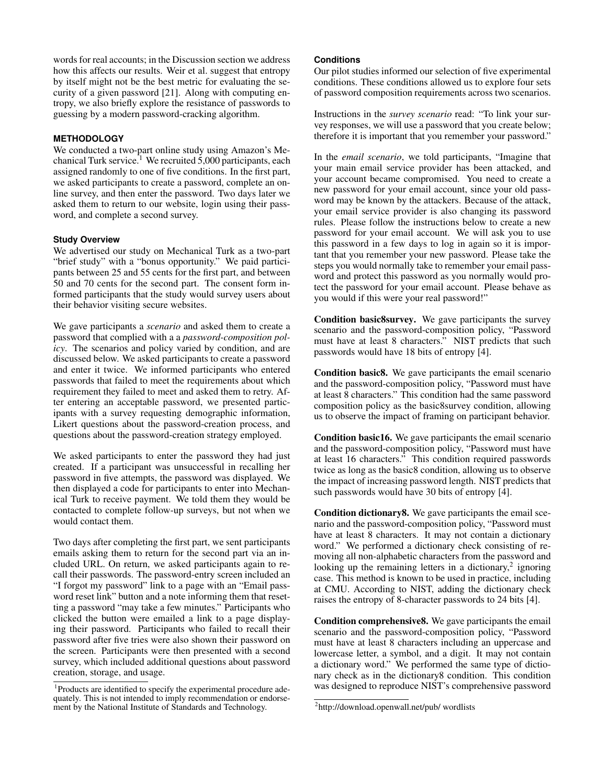words for real accounts; in the Discussion section we address how this affects our results. Weir et al. suggest that entropy by itself might not be the best metric for evaluating the security of a given password [\[21\]](#page-9-19). Along with computing entropy, we also briefly explore the resistance of passwords to guessing by a modern password-cracking algorithm.

# **METHODOLOGY**

We conducted a two-part online study using Amazon's Mechanical Turk service.<sup>1</sup> We recruited  $5,000$  participants, each assigned randomly to one of five conditions. In the first part, we asked participants to create a password, complete an online survey, and then enter the password. Two days later we asked them to return to our website, login using their password, and complete a second survey.

## **Study Overview**

We advertised our study on Mechanical Turk as a two-part "brief study" with a "bonus opportunity." We paid participants between 25 and 55 cents for the first part, and between 50 and 70 cents for the second part. The consent form informed participants that the study would survey users about their behavior visiting secure websites.

We gave participants a *scenario* and asked them to create a password that complied with a a *password-composition policy*. The scenarios and policy varied by condition, and are discussed below. We asked participants to create a password and enter it twice. We informed participants who entered passwords that failed to meet the requirements about which requirement they failed to meet and asked them to retry. After entering an acceptable password, we presented participants with a survey requesting demographic information, Likert questions about the password-creation process, and questions about the password-creation strategy employed.

We asked participants to enter the password they had just created. If a participant was unsuccessful in recalling her password in five attempts, the password was displayed. We then displayed a code for participants to enter into Mechanical Turk to receive payment. We told them they would be contacted to complete follow-up surveys, but not when we would contact them.

Two days after completing the first part, we sent participants emails asking them to return for the second part via an included URL. On return, we asked participants again to recall their passwords. The password-entry screen included an "I forgot my password" link to a page with an "Email password reset link" button and a note informing them that resetting a password "may take a few minutes." Participants who clicked the button were emailed a link to a page displaying their password. Participants who failed to recall their password after five tries were also shown their password on the screen. Participants were then presented with a second survey, which included additional questions about password creation, storage, and usage.

## **Conditions**

Our pilot studies informed our selection of five experimental conditions. These conditions allowed us to explore four sets of password composition requirements across two scenarios.

Instructions in the *survey scenario* read: "To link your survey responses, we will use a password that you create below; therefore it is important that you remember your password."

In the *email scenario*, we told participants, "Imagine that your main email service provider has been attacked, and your account became compromised. You need to create a new password for your email account, since your old password may be known by the attackers. Because of the attack, your email service provider is also changing its password rules. Please follow the instructions below to create a new password for your email account. We will ask you to use this password in a few days to log in again so it is important that you remember your new password. Please take the steps you would normally take to remember your email password and protect this password as you normally would protect the password for your email account. Please behave as you would if this were your real password!"

Condition basic8survey. We gave participants the survey scenario and the password-composition policy, "Password must have at least 8 characters." NIST predicts that such passwords would have 18 bits of entropy [\[4\]](#page-9-0).

Condition basic8. We gave participants the email scenario and the password-composition policy, "Password must have at least 8 characters." This condition had the same password composition policy as the basic8survey condition, allowing us to observe the impact of framing on participant behavior.

Condition basic16. We gave participants the email scenario and the password-composition policy, "Password must have at least 16 characters." This condition required passwords twice as long as the basic8 condition, allowing us to observe the impact of increasing password length. NIST predicts that such passwords would have 30 bits of entropy [\[4\]](#page-9-0).

Condition dictionary8. We gave participants the email scenario and the password-composition policy, "Password must have at least 8 characters. It may not contain a dictionary word." We performed a dictionary check consisting of removing all non-alphabetic characters from the password and looking up the remaining letters in a dictionary,<sup>2</sup> ignoring case. This method is known to be used in practice, including at CMU. According to NIST, adding the dictionary check raises the entropy of 8-character passwords to 24 bits [\[4\]](#page-9-0).

Condition comprehensive8. We gave participants the email scenario and the password-composition policy, "Password must have at least 8 characters including an uppercase and lowercase letter, a symbol, and a digit. It may not contain a dictionary word." We performed the same type of dictionary check as in the dictionary8 condition. This condition was designed to reproduce NIST's comprehensive password

<sup>&</sup>lt;sup>1</sup>Products are identified to specify the experimental procedure adequately. This is not intended to imply recommendation or endorsement by the National Institute of Standards and Technology.

<sup>&</sup>lt;sup>2</sup>http://download.openwall.net/pub/ wordlists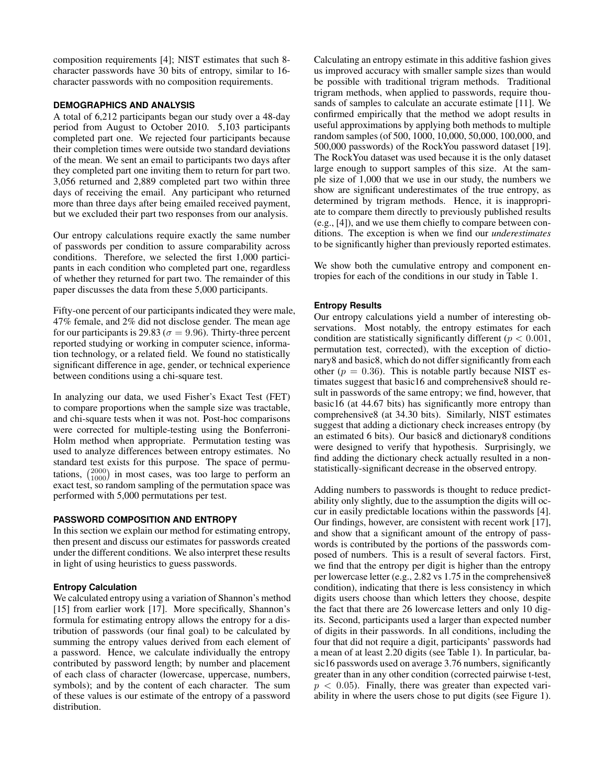composition requirements [\[4\]](#page-9-0); NIST estimates that such 8 character passwords have 30 bits of entropy, similar to 16 character passwords with no composition requirements.

# **DEMOGRAPHICS AND ANALYSIS**

A total of 6,212 participants began our study over a 48-day period from August to October 2010. 5,103 participants completed part one. We rejected four participants because their completion times were outside two standard deviations of the mean. We sent an email to participants two days after they completed part one inviting them to return for part two. 3,056 returned and 2,889 completed part two within three days of receiving the email. Any participant who returned more than three days after being emailed received payment, but we excluded their part two responses from our analysis.

Our entropy calculations require exactly the same number of passwords per condition to assure comparability across conditions. Therefore, we selected the first 1,000 participants in each condition who completed part one, regardless of whether they returned for part two. The remainder of this paper discusses the data from these 5,000 participants.

Fifty-one percent of our participants indicated they were male, 47% female, and 2% did not disclose gender. The mean age for our participants is 29.83 ( $\sigma = 9.96$ ). Thirty-three percent reported studying or working in computer science, information technology, or a related field. We found no statistically significant difference in age, gender, or technical experience between conditions using a chi-square test.

In analyzing our data, we used Fisher's Exact Test (FET) to compare proportions when the sample size was tractable, and chi-square tests when it was not. Post-hoc comparisons were corrected for multiple-testing using the Bonferroni-Holm method when appropriate. Permutation testing was used to analyze differences between entropy estimates. No standard test exists for this purpose. The space of permutations,  $\binom{2000}{1000}$  in most cases, was too large to perform an exact test, so random sampling of the permutation space was performed with 5,000 permutations per test.

# **PASSWORD COMPOSITION AND ENTROPY**

In this section we explain our method for estimating entropy, then present and discuss our estimates for passwords created under the different conditions. We also interpret these results in light of using heuristics to guess passwords.

# **Entropy Calculation**

We calculated entropy using a variation of Shannon's method [\[15\]](#page-9-18) from earlier work [\[17\]](#page-9-13). More specifically, Shannon's formula for estimating entropy allows the entropy for a distribution of passwords (our final goal) to be calculated by summing the entropy values derived from each element of a password. Hence, we calculate individually the entropy contributed by password length; by number and placement of each class of character (lowercase, uppercase, numbers, symbols); and by the content of each character. The sum of these values is our estimate of the entropy of a password distribution.

Calculating an entropy estimate in this additive fashion gives us improved accuracy with smaller sample sizes than would be possible with traditional trigram methods. Traditional trigram methods, when applied to passwords, require thousands of samples to calculate an accurate estimate [\[11\]](#page-9-17). We confirmed empirically that the method we adopt results in useful approximations by applying both methods to multiple random samples (of 500, 1000, 10,000, 50,000, 100,000, and 500,000 passwords) of the RockYou password dataset [\[19\]](#page-9-20). The RockYou dataset was used because it is the only dataset large enough to support samples of this size. At the sample size of 1,000 that we use in our study, the numbers we show are significant underestimates of the true entropy, as determined by trigram methods. Hence, it is inappropriate to compare them directly to previously published results (e.g., [\[4\]](#page-9-0)), and we use them chiefly to compare between conditions. The exception is when we find our *underestimates* to be significantly higher than previously reported estimates.

We show both the cumulative entropy and component entropies for each of the conditions in our study in Table [1.](#page-4-0)

# **Entropy Results**

Our entropy calculations yield a number of interesting observations. Most notably, the entropy estimates for each condition are statistically significantly different ( $p < 0.001$ , permutation test, corrected), with the exception of dictionary8 and basic8, which do not differ significantly from each other ( $p = 0.36$ ). This is notable partly because NIST estimates suggest that basic16 and comprehensive8 should result in passwords of the same entropy; we find, however, that basic16 (at 44.67 bits) has significantly more entropy than comprehensive8 (at 34.30 bits). Similarly, NIST estimates suggest that adding a dictionary check increases entropy (by an estimated 6 bits). Our basic8 and dictionary8 conditions were designed to verify that hypothesis. Surprisingly, we find adding the dictionary check actually resulted in a nonstatistically-significant decrease in the observed entropy.

Adding numbers to passwords is thought to reduce predictability only slightly, due to the assumption the digits will occur in easily predictable locations within the passwords [\[4\]](#page-9-0). Our findings, however, are consistent with recent work [\[17\]](#page-9-13), and show that a significant amount of the entropy of passwords is contributed by the portions of the passwords composed of numbers. This is a result of several factors. First, we find that the entropy per digit is higher than the entropy per lowercase letter (e.g., 2.82 vs 1.75 in the comprehensive8 condition), indicating that there is less consistency in which digits users choose than which letters they choose, despite the fact that there are 26 lowercase letters and only 10 digits. Second, participants used a larger than expected number of digits in their passwords. In all conditions, including the four that did not require a digit, participants' passwords had a mean of at least 2.20 digits (see Table [1\)](#page-4-0). In particular, basic16 passwords used on average 3.76 numbers, significantly greater than in any other condition (corrected pairwise t-test,  $p < 0.05$ ). Finally, there was greater than expected variability in where the users chose to put digits (see Figure [1\)](#page-4-1).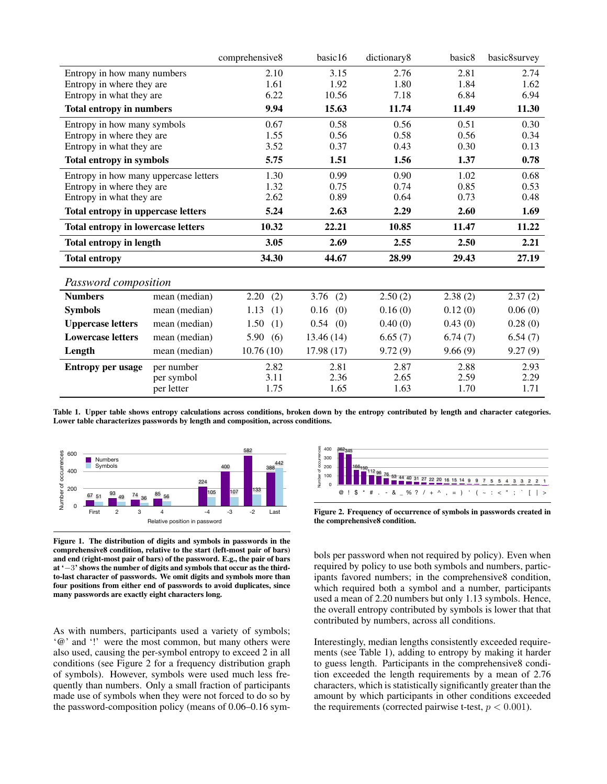|                                           | comprehensive8 |             | basic16     | dictionary8 | basic <sub>8</sub> | basic8survey |
|-------------------------------------------|----------------|-------------|-------------|-------------|--------------------|--------------|
| Entropy in how many numbers               |                | 2.10        | 3.15        | 2.76        | 2.81               | 2.74         |
| Entropy in where they are                 |                | 1.61        | 1.92        | 1.80        | 1.84               | 1.62         |
| Entropy in what they are                  |                | 6.22        | 10.56       | 7.18        | 6.84               | 6.94         |
| <b>Total entropy in numbers</b>           |                | 9.94        | 15.63       | 11.74       | 11.49              | 11.30        |
| Entropy in how many symbols               |                | 0.67        | 0.58        | 0.56        | 0.51               | 0.30         |
| Entropy in where they are                 |                | 1.55        | 0.56        | 0.58        | 0.56               | 0.34         |
| Entropy in what they are                  |                | 3.52        | 0.37        | 0.43        | 0.30               | 0.13         |
| <b>Total entropy in symbols</b>           |                | 5.75        | 1.51        | 1.56        | 1.37               | 0.78         |
| Entropy in how many uppercase letters     |                | 1.30        | 0.99        | 0.90        | 1.02               | 0.68         |
| Entropy in where they are                 |                | 1.32        | 0.75        | 0.74        | 0.85               | 0.53         |
| Entropy in what they are                  |                | 2.62        | 0.89        | 0.64        | 0.73               | 0.48         |
| Total entropy in uppercase letters        |                | 5.24        | 2.63        | 2.29        | 2.60               | 1.69         |
| <b>Total entropy in lowercase letters</b> |                | 10.32       | 22.21       | 10.85       | 11.47              | 11.22        |
| <b>Total entropy in length</b>            |                | 3.05        | 2.69        | 2.55        | 2.50               | 2.21         |
| <b>Total entropy</b>                      |                | 34.30       | 44.67       | 28.99       | 29.43              | 27.19        |
| Password composition                      |                |             |             |             |                    |              |
| <b>Numbers</b>                            | mean (median)  | (2)<br>2.20 | 3.76<br>(2) | 2.50(2)     | 2.38(2)            | 2.37(2)      |
| <b>Symbols</b>                            | mean (median)  | 1.13<br>(1) | 0.16<br>(0) | 0.16(0)     | 0.12(0)            | 0.06(0)      |
| <b>Uppercase letters</b>                  | mean (median)  | 1.50<br>(1) | 0.54<br>(0) | 0.40(0)     | 0.43(0)            | 0.28(0)      |
| <b>Lowercase letters</b>                  | mean (median)  | 5.90<br>(6) | 13.46 (14)  | 6.65(7)     | 6.74(7)            | 6.54(7)      |
| Length                                    | mean (median)  | 10.76(10)   | 17.98(17)   | 9.72(9)     | 9.66(9)            | 9.27(9)      |
| <b>Entropy per usage</b>                  | per number     | 2.82        | 2.81        | 2.87        | 2.88               | 2.93         |
|                                           | per symbol     | 3.11        | 2.36        | 2.65        | 2.59               | 2.29         |
|                                           | per letter     | 1.75        | 1.65        | 1.63        | 1.70               | 1.71         |

<span id="page-4-0"></span>Table 1. Upper table shows entropy calculations across conditions, broken down by the entropy contributed by length and character categories. Lower table characterizes passwords by length and composition, across conditions.



<span id="page-4-1"></span>Figure 1. The distribution of digits and symbols in passwords in the comprehensive8 condition, relative to the start (left-most pair of bars) and end (right-most pair of bars) of the password. E.g., the pair of bars at '−3' shows the number of digits and symbols that occur as the thirdto-last character of passwords. We omit digits and symbols more than four positions from either end of passwords to avoid duplicates, since many passwords are exactly eight characters long.

As with numbers, participants used a variety of symbols; '@' and '!' were the most common, but many others were also used, causing the per-symbol entropy to exceed 2 in all conditions (see Figure [2](#page-4-2) for a frequency distribution graph of symbols). However, symbols were used much less frequently than numbers. Only a small fraction of participants made use of symbols when they were not forced to do so by the password-composition policy (means of 0.06–0.16 sym-



<span id="page-4-2"></span>Figure 2. Frequency of occurrence of symbols in passwords created in the comprehensive8 condition.

bols per password when not required by policy). Even when required by policy to use both symbols and numbers, participants favored numbers; in the comprehensive8 condition, which required both a symbol and a number, participants used a mean of 2.20 numbers but only 1.13 symbols. Hence, the overall entropy contributed by symbols is lower that that contributed by numbers, across all conditions.

Interestingly, median lengths consistently exceeded requirements (see Table [1\)](#page-4-0), adding to entropy by making it harder to guess length. Participants in the comprehensive8 condition exceeded the length requirements by a mean of 2.76 characters, which is statistically significantly greater than the amount by which participants in other conditions exceeded the requirements (corrected pairwise t-test,  $p < 0.001$ ).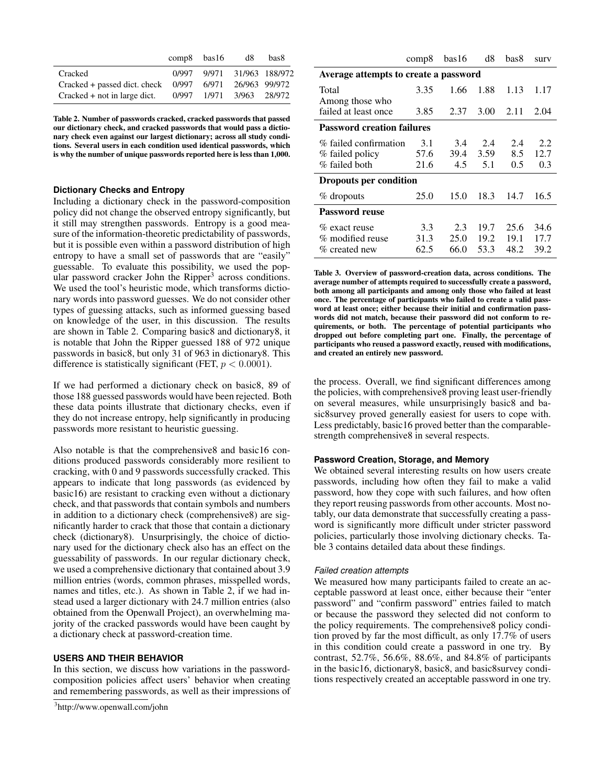|                                | comp8 | bas16 | d8    | bas8           |
|--------------------------------|-------|-------|-------|----------------|
| Cracked                        | 0/997 | 9/971 |       | 31/963 188/972 |
| Cracked + passed dict. check   | 0/997 | 6/971 |       | 26/963 99/972  |
| $Cracked + not in large dict.$ | 0/997 | 1/971 | 3/963 | 28/972         |

<span id="page-5-0"></span>Table 2. Number of passwords cracked, cracked passwords that passed our dictionary check, and cracked passwords that would pass a dictionary check even against our largest dictionary; across all study conditions. Several users in each condition used identical passwords, which is why the number of unique passwords reported here is less than 1,000.

# **Dictionary Checks and Entropy**

Including a dictionary check in the password-composition policy did not change the observed entropy significantly, but it still may strengthen passwords. Entropy is a good measure of the information-theoretic predictability of passwords, but it is possible even within a password distribution of high entropy to have a small set of passwords that are "easily" guessable. To evaluate this possibility, we used the popular password cracker John the Ripper<sup>3</sup> across conditions. We used the tool's heuristic mode, which transforms dictionary words into password guesses. We do not consider other types of guessing attacks, such as informed guessing based on knowledge of the user, in this discussion. The results are shown in Table [2.](#page-5-0) Comparing basic8 and dictionary8, it is notable that John the Ripper guessed 188 of 972 unique passwords in basic8, but only 31 of 963 in dictionary8. This difference is statistically significant (FET,  $p < 0.0001$ ).

If we had performed a dictionary check on basic8, 89 of those 188 guessed passwords would have been rejected. Both these data points illustrate that dictionary checks, even if they do not increase entropy, help significantly in producing passwords more resistant to heuristic guessing.

Also notable is that the comprehensive8 and basic16 conditions produced passwords considerably more resilient to cracking, with 0 and 9 passwords successfully cracked. This appears to indicate that long passwords (as evidenced by basic16) are resistant to cracking even without a dictionary check, and that passwords that contain symbols and numbers in addition to a dictionary check (comprehensive8) are significantly harder to crack that those that contain a dictionary check (dictionary8). Unsurprisingly, the choice of dictionary used for the dictionary check also has an effect on the guessability of passwords. In our regular dictionary check, we used a comprehensive dictionary that contained about 3.9 million entries (words, common phrases, misspelled words, names and titles, etc.). As shown in Table [2,](#page-5-0) if we had instead used a larger dictionary with 24.7 million entries (also obtained from the Openwall Project), an overwhelming majority of the cracked passwords would have been caught by a dictionary check at password-creation time.

## **USERS AND THEIR BEHAVIOR**

In this section, we discuss how variations in the passwordcomposition policies affect users' behavior when creating and remembering passwords, as well as their impressions of

|                                       | comp8 | bas16 | d8   | bas8 | surv |  |  |  |  |
|---------------------------------------|-------|-------|------|------|------|--|--|--|--|
| Average attempts to create a password |       |       |      |      |      |  |  |  |  |
| Total                                 | 3.35  | 1.66  | 1.88 | 1.13 | 1.17 |  |  |  |  |
| Among those who                       |       |       |      |      |      |  |  |  |  |
| failed at least once                  | 3.85  | 2.37  | 3.00 | 2.11 | 2.04 |  |  |  |  |
| <b>Password creation failures</b>     |       |       |      |      |      |  |  |  |  |
| % failed confirmation                 | 3.1   | 3.4   | 2.4  | 2.4  | 2.2  |  |  |  |  |
| % failed policy                       | 57.6  | 39.4  | 3.59 | 8.5  | 12.7 |  |  |  |  |
| % failed both                         | 21.6  | 4.5   | 5.1  | 0.5  | 0.3  |  |  |  |  |
| Dropouts per condition                |       |       |      |      |      |  |  |  |  |
| % dropouts                            | 25.0  | 15.0  | 18.3 | 14.7 | 16.5 |  |  |  |  |
| Password reuse                        |       |       |      |      |      |  |  |  |  |
| % exact reuse                         | 3.3   | 2.3   | 19.7 | 25.6 | 34.6 |  |  |  |  |
| % modified reuse                      | 31.3  | 25.0  | 19.2 | 19.1 | 17.7 |  |  |  |  |
| $\%$ created new                      | 62.5  | 66.0  | 53.3 | 48.2 | 39.2 |  |  |  |  |

<span id="page-5-1"></span>Table 3. Overview of password-creation data, across conditions. The average number of attempts required to successfully create a password, both among all participants and among only those who failed at least once. The percentage of participants who failed to create a valid password at least once; either because their initial and confirmation passwords did not match, because their password did not conform to requirements, or both. The percentage of potential participants who dropped out before completing part one. Finally, the percentage of participants who reused a password exactly, reused with modifications, and created an entirely new password.

the process. Overall, we find significant differences among the policies, with comprehensive8 proving least user-friendly on several measures, while unsurprisingly basic8 and basic8survey proved generally easiest for users to cope with. Less predictably, basic16 proved better than the comparablestrength comprehensive8 in several respects.

#### **Password Creation, Storage, and Memory**

We obtained several interesting results on how users create passwords, including how often they fail to make a valid password, how they cope with such failures, and how often they report reusing passwords from other accounts. Most notably, our data demonstrate that successfully creating a password is significantly more difficult under stricter password policies, particularly those involving dictionary checks. Table [3](#page-5-1) contains detailed data about these findings.

#### *Failed creation attempts*

We measured how many participants failed to create an acceptable password at least once, either because their "enter password" and "confirm password" entries failed to match or because the password they selected did not conform to the policy requirements. The comprehensive8 policy condition proved by far the most difficult, as only 17.7% of users in this condition could create a password in one try. By contrast, 52.7%, 56.6%, 88.6%, and 84.8% of participants in the basic16, dictionary8, basic8, and basic8survey conditions respectively created an acceptable password in one try.

<sup>3</sup> http://www.openwall.com/john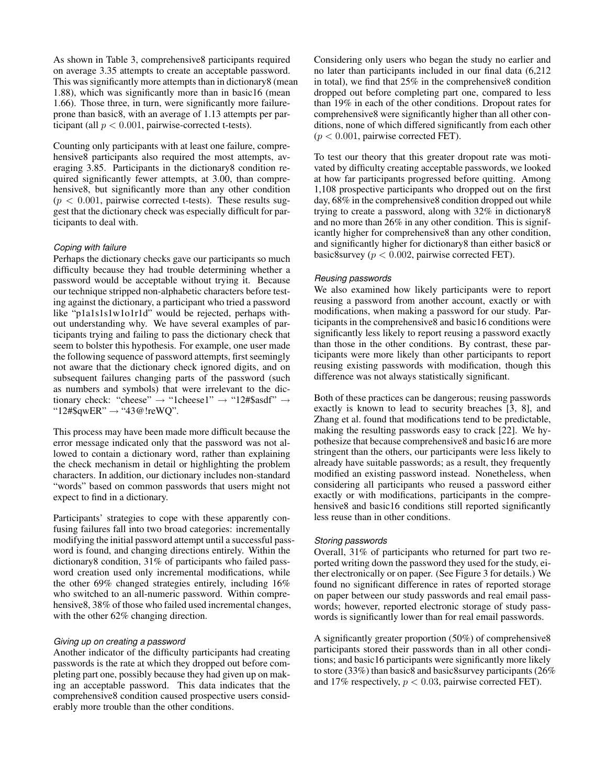As shown in Table [3,](#page-5-1) comprehensive8 participants required on average 3.35 attempts to create an acceptable password. This was significantly more attempts than in dictionary8 (mean 1.88), which was significantly more than in basic16 (mean 1.66). Those three, in turn, were significantly more failureprone than basic8, with an average of 1.13 attempts per participant (all  $p < 0.001$ , pairwise-corrected t-tests).

Counting only participants with at least one failure, comprehensive8 participants also required the most attempts, averaging 3.85. Participants in the dictionary8 condition required significantly fewer attempts, at 3.00, than comprehensive8, but significantly more than any other condition  $(p < 0.001$ , pairwise corrected t-tests). These results suggest that the dictionary check was especially difficult for participants to deal with.

# *Coping with failure*

Perhaps the dictionary checks gave our participants so much difficulty because they had trouble determining whether a password would be acceptable without trying it. Because our technique stripped non-alphabetic characters before testing against the dictionary, a participant who tried a password like "p1a1s1s1w1o1r1d" would be rejected, perhaps without understanding why. We have several examples of participants trying and failing to pass the dictionary check that seem to bolster this hypothesis. For example, one user made the following sequence of password attempts, first seemingly not aware that the dictionary check ignored digits, and on subsequent failures changing parts of the password (such as numbers and symbols) that were irrelevant to the dictionary check: "cheese"  $\rightarrow$  "1cheese1"  $\rightarrow$  "12#\$asdf"  $\rightarrow$ " $12#$ \$qwER"  $\rightarrow$  "43@!reWQ".

This process may have been made more difficult because the error message indicated only that the password was not allowed to contain a dictionary word, rather than explaining the check mechanism in detail or highlighting the problem characters. In addition, our dictionary includes non-standard "words" based on common passwords that users might not expect to find in a dictionary.

Participants' strategies to cope with these apparently confusing failures fall into two broad categories: incrementally modifying the initial password attempt until a successful password is found, and changing directions entirely. Within the dictionary8 condition, 31% of participants who failed password creation used only incremental modifications, while the other 69% changed strategies entirely, including 16% who switched to an all-numeric password. Within comprehensive8, 38% of those who failed used incremental changes, with the other 62% changing direction.

# *Giving up on creating a password*

Another indicator of the difficulty participants had creating passwords is the rate at which they dropped out before completing part one, possibly because they had given up on making an acceptable password. This data indicates that the comprehensive8 condition caused prospective users considerably more trouble than the other conditions.

Considering only users who began the study no earlier and no later than participants included in our final data (6,212 in total), we find that 25% in the comprehensive8 condition dropped out before completing part one, compared to less than 19% in each of the other conditions. Dropout rates for comprehensive8 were significantly higher than all other conditions, none of which differed significantly from each other  $(p < 0.001$ , pairwise corrected FET).

To test our theory that this greater dropout rate was motivated by difficulty creating acceptable passwords, we looked at how far participants progressed before quitting. Among 1,108 prospective participants who dropped out on the first day, 68% in the comprehensive8 condition dropped out while trying to create a password, along with 32% in dictionary8 and no more than 26% in any other condition. This is significantly higher for comprehensive8 than any other condition, and significantly higher for dictionary8 than either basic8 or basic8survey ( $p < 0.002$ , pairwise corrected FET).

## *Reusing passwords*

We also examined how likely participants were to report reusing a password from another account, exactly or with modifications, when making a password for our study. Participants in the comprehensive8 and basic16 conditions were significantly less likely to report reusing a password exactly than those in the other conditions. By contrast, these participants were more likely than other participants to report reusing existing passwords with modification, though this difference was not always statistically significant.

Both of these practices can be dangerous; reusing passwords exactly is known to lead to security breaches [\[3,](#page-9-21) [8\]](#page-9-22), and Zhang et al. found that modifications tend to be predictable, making the resulting passwords easy to crack [\[22\]](#page-9-11). We hypothesize that because comprehensive8 and basic16 are more stringent than the others, our participants were less likely to already have suitable passwords; as a result, they frequently modified an existing password instead. Nonetheless, when considering all participants who reused a password either exactly or with modifications, participants in the comprehensive8 and basic16 conditions still reported significantly less reuse than in other conditions.

#### *Storing passwords*

Overall, 31% of participants who returned for part two reported writing down the password they used for the study, either electronically or on paper. (See Figure [3](#page-7-0) for details.) We found no significant difference in rates of reported storage on paper between our study passwords and real email passwords; however, reported electronic storage of study passwords is significantly lower than for real email passwords.

A significantly greater proportion (50%) of comprehensive8 participants stored their passwords than in all other conditions; and basic16 participants were significantly more likely to store (33%) than basic8 and basic8survey participants (26% and 17% respectively,  $p < 0.03$ , pairwise corrected FET).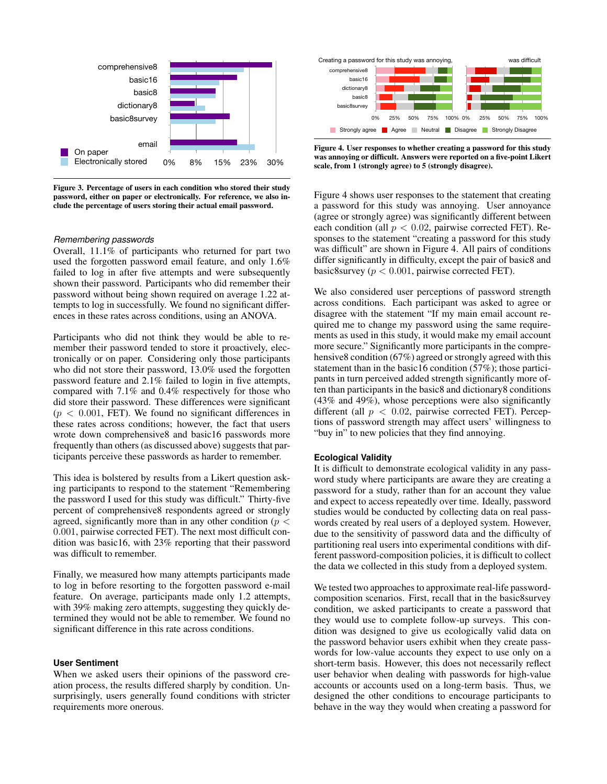

<span id="page-7-0"></span>Figure 3. Percentage of users in each condition who stored their study password, either on paper or electronically. For reference, we also include the percentage of users storing their actual email password.

#### *Remembering passwords*

Overall, 11.1% of participants who returned for part two used the forgotten password email feature, and only 1.6% failed to log in after five attempts and were subsequently shown their password. Participants who did remember their password without being shown required on average 1.22 attempts to log in successfully. We found no significant differences in these rates across conditions, using an ANOVA.

Participants who did not think they would be able to remember their password tended to store it proactively, electronically or on paper. Considering only those participants who did not store their password, 13.0% used the forgotten password feature and 2.1% failed to login in five attempts, compared with 7.1% and 0.4% respectively for those who did store their password. These differences were significant  $(p < 0.001, FET)$ . We found no significant differences in these rates across conditions; however, the fact that users wrote down comprehensive8 and basic16 passwords more frequently than others (as discussed above) suggests that participants perceive these passwords as harder to remember.

This idea is bolstered by results from a Likert question asking participants to respond to the statement "Remembering the password I used for this study was difficult." Thirty-five percent of comprehensive8 respondents agreed or strongly agreed, significantly more than in any other condition ( $p <$ 0.001, pairwise corrected FET). The next most difficult condition was basic16, with 23% reporting that their password was difficult to remember.

Finally, we measured how many attempts participants made to log in before resorting to the forgotten password e-mail feature. On average, participants made only 1.2 attempts, with 39% making zero attempts, suggesting they quickly determined they would not be able to remember. We found no significant difference in this rate across conditions.

## **User Sentiment**

When we asked users their opinions of the password creation process, the results differed sharply by condition. Unsurprisingly, users generally found conditions with stricter requirements more onerous.



<span id="page-7-1"></span>Figure 4. User responses to whether creating a password for this study was annoying or difficult. Answers were reported on a five-point Likert scale, from 1 (strongly agree) to 5 (strongly disagree).

Figure [4](#page-7-1) shows user responses to the statement that creating a password for this study was annoying. User annoyance (agree or strongly agree) was significantly different between each condition (all  $p < 0.02$ , pairwise corrected FET). Responses to the statement "creating a password for this study was difficult" are shown in Figure [4.](#page-7-1) All pairs of conditions differ significantly in difficulty, except the pair of basic8 and basic8survey ( $p < 0.001$ , pairwise corrected FET).

We also considered user perceptions of password strength across conditions. Each participant was asked to agree or disagree with the statement "If my main email account required me to change my password using the same requirements as used in this study, it would make my email account more secure." Significantly more participants in the comprehensive8 condition (67%) agreed or strongly agreed with this statement than in the basic16 condition (57%); those participants in turn perceived added strength significantly more often than participants in the basic8 and dictionary8 conditions (43% and 49%), whose perceptions were also significantly different (all  $p < 0.02$ , pairwise corrected FET). Perceptions of password strength may affect users' willingness to "buy in" to new policies that they find annoying.

## **Ecological Validity**

It is difficult to demonstrate ecological validity in any password study where participants are aware they are creating a password for a study, rather than for an account they value and expect to access repeatedly over time. Ideally, password studies would be conducted by collecting data on real passwords created by real users of a deployed system. However, due to the sensitivity of password data and the difficulty of partitioning real users into experimental conditions with different password-composition policies, it is difficult to collect the data we collected in this study from a deployed system.

We tested two approaches to approximate real-life passwordcomposition scenarios. First, recall that in the basic8survey condition, we asked participants to create a password that they would use to complete follow-up surveys. This condition was designed to give us ecologically valid data on the password behavior users exhibit when they create passwords for low-value accounts they expect to use only on a short-term basis. However, this does not necessarily reflect user behavior when dealing with passwords for high-value accounts or accounts used on a long-term basis. Thus, we designed the other conditions to encourage participants to behave in the way they would when creating a password for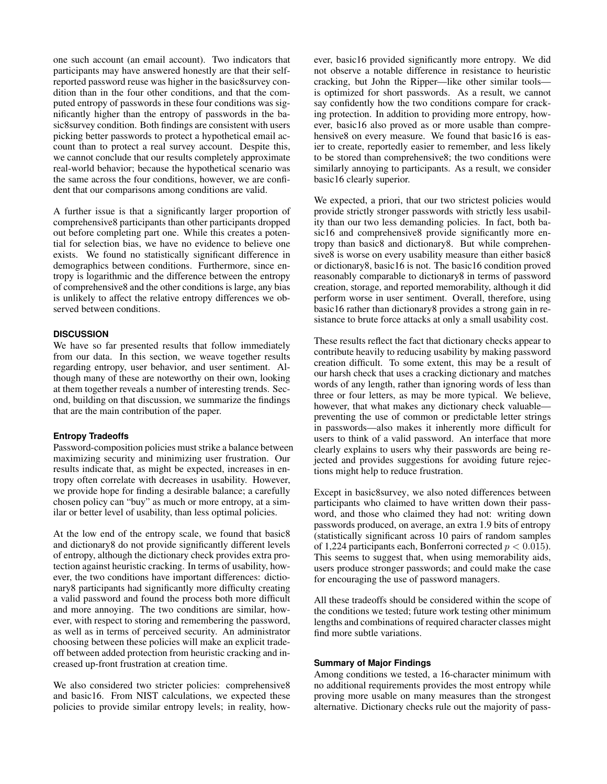one such account (an email account). Two indicators that participants may have answered honestly are that their selfreported password reuse was higher in the basic8survey condition than in the four other conditions, and that the computed entropy of passwords in these four conditions was significantly higher than the entropy of passwords in the basic8survey condition. Both findings are consistent with users picking better passwords to protect a hypothetical email account than to protect a real survey account. Despite this, we cannot conclude that our results completely approximate real-world behavior; because the hypothetical scenario was the same across the four conditions, however, we are confident that our comparisons among conditions are valid.

A further issue is that a significantly larger proportion of comprehensive8 participants than other participants dropped out before completing part one. While this creates a potential for selection bias, we have no evidence to believe one exists. We found no statistically significant difference in demographics between conditions. Furthermore, since entropy is logarithmic and the difference between the entropy of comprehensive8 and the other conditions is large, any bias is unlikely to affect the relative entropy differences we observed between conditions.

## **DISCUSSION**

We have so far presented results that follow immediately from our data. In this section, we weave together results regarding entropy, user behavior, and user sentiment. Although many of these are noteworthy on their own, looking at them together reveals a number of interesting trends. Second, building on that discussion, we summarize the findings that are the main contribution of the paper.

## **Entropy Tradeoffs**

Password-composition policies must strike a balance between maximizing security and minimizing user frustration. Our results indicate that, as might be expected, increases in entropy often correlate with decreases in usability. However, we provide hope for finding a desirable balance; a carefully chosen policy can "buy" as much or more entropy, at a similar or better level of usability, than less optimal policies.

At the low end of the entropy scale, we found that basic8 and dictionary8 do not provide significantly different levels of entropy, although the dictionary check provides extra protection against heuristic cracking. In terms of usability, however, the two conditions have important differences: dictionary8 participants had significantly more difficulty creating a valid password and found the process both more difficult and more annoying. The two conditions are similar, however, with respect to storing and remembering the password, as well as in terms of perceived security. An administrator choosing between these policies will make an explicit tradeoff between added protection from heuristic cracking and increased up-front frustration at creation time.

We also considered two stricter policies: comprehensive8 and basic16. From NIST calculations, we expected these policies to provide similar entropy levels; in reality, however, basic16 provided significantly more entropy. We did not observe a notable difference in resistance to heuristic cracking, but John the Ripper—like other similar tools is optimized for short passwords. As a result, we cannot say confidently how the two conditions compare for cracking protection. In addition to providing more entropy, however, basic16 also proved as or more usable than comprehensive8 on every measure. We found that basic16 is easier to create, reportedly easier to remember, and less likely to be stored than comprehensive8; the two conditions were similarly annoying to participants. As a result, we consider basic16 clearly superior.

We expected, a priori, that our two strictest policies would provide strictly stronger passwords with strictly less usability than our two less demanding policies. In fact, both basic16 and comprehensive8 provide significantly more entropy than basic8 and dictionary8. But while comprehensive8 is worse on every usability measure than either basic8 or dictionary8, basic16 is not. The basic16 condition proved reasonably comparable to dictionary8 in terms of password creation, storage, and reported memorability, although it did perform worse in user sentiment. Overall, therefore, using basic16 rather than dictionary8 provides a strong gain in resistance to brute force attacks at only a small usability cost.

These results reflect the fact that dictionary checks appear to contribute heavily to reducing usability by making password creation difficult. To some extent, this may be a result of our harsh check that uses a cracking dictionary and matches words of any length, rather than ignoring words of less than three or four letters, as may be more typical. We believe, however, that what makes any dictionary check valuable preventing the use of common or predictable letter strings in passwords—also makes it inherently more difficult for users to think of a valid password. An interface that more clearly explains to users why their passwords are being rejected and provides suggestions for avoiding future rejections might help to reduce frustration.

Except in basic8survey, we also noted differences between participants who claimed to have written down their password, and those who claimed they had not: writing down passwords produced, on average, an extra 1.9 bits of entropy (statistically significant across 10 pairs of random samples of 1,224 participants each, Bonferroni corrected  $p < 0.015$ ). This seems to suggest that, when using memorability aids, users produce stronger passwords; and could make the case for encouraging the use of password managers.

All these tradeoffs should be considered within the scope of the conditions we tested; future work testing other minimum lengths and combinations of required character classes might find more subtle variations.

# **Summary of Major Findings**

Among conditions we tested, a 16-character minimum with no additional requirements provides the most entropy while proving more usable on many measures than the strongest alternative. Dictionary checks rule out the majority of pass